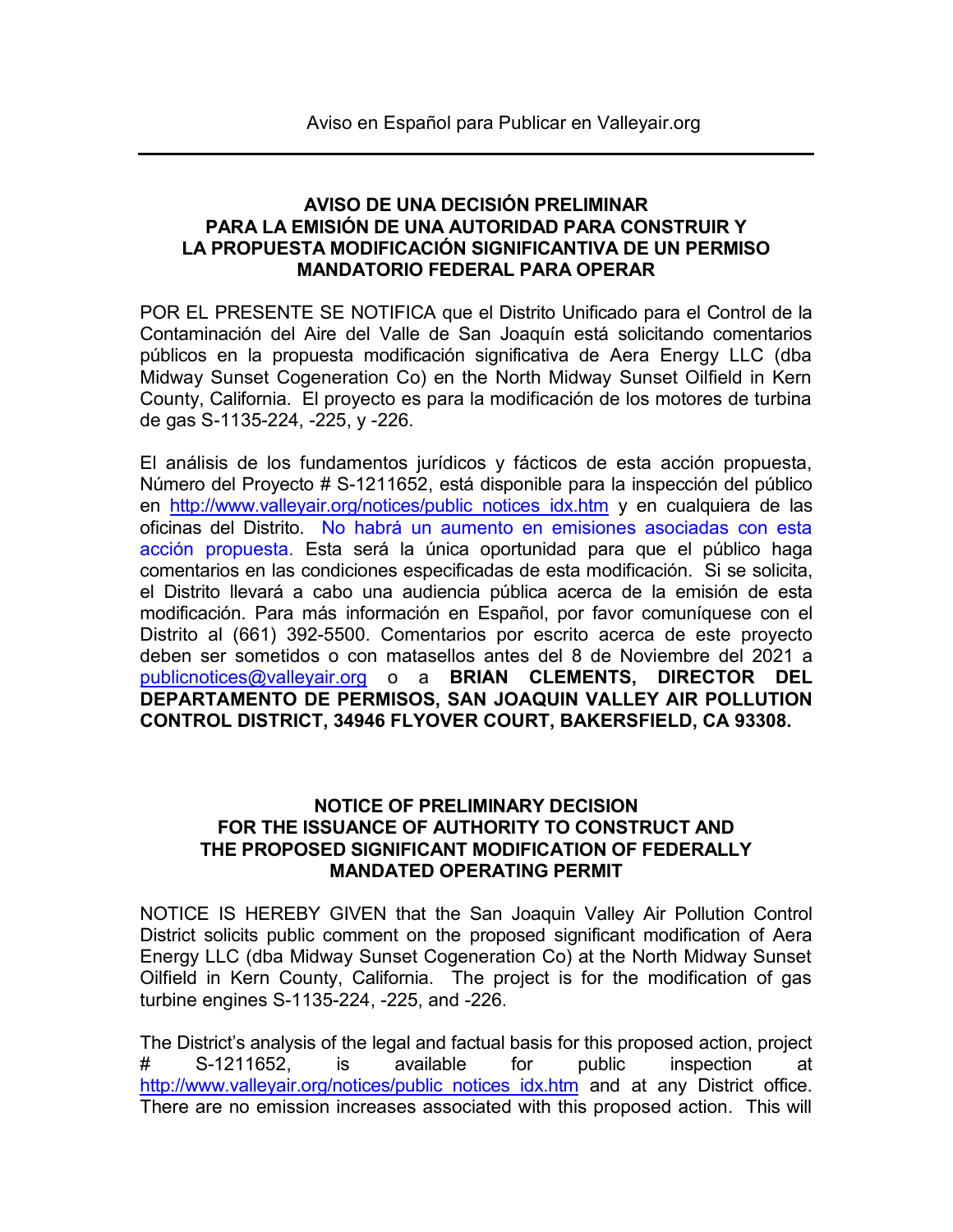## AVISO DE UNA DECISIÓN PRELIMINAR PARA LA EMISIÓN DE UNA AUTORIDAD PARA CONSTRUIR Y LA PROPUESTA MODIFICACIÓN SIGNIFICANTIVA DE UN PERMISO MANDATORIO FEDERAL PARA OPERAR

POR EL PRESENTE SE NOTIFICA que el Distrito Unificado para el Control de la Contaminación del Aire del Valle de San Joaquín está solicitando comentarios públicos en la propuesta modificación significativa de Aera Energy LLC (dba Midway Sunset Cogeneration Co) en the North Midway Sunset Oilfield in Kern County, California. El proyecto es para la modificación de los motores de turbina de gas S-1135-224, -225, y -226.

El análisis de los fundamentos jurídicos y fácticos de esta acción propuesta, Número del Proyecto # S-1211652, está disponible para la inspección del público en http://www.valleyair.org/notices/public notices idx.htm y en cualquiera de las oficinas del Distrito. No habrá un aumento en emisiones asociadas con esta acción propuesta. Esta será la única oportunidad para que el público haga comentarios en las condiciones especificadas de esta modificación. Si se solicita, el Distrito llevará a cabo una audiencia pública acerca de la emisión de esta modificación. Para más información en Español, por favor comuníquese con el Distrito al (661) 392-5500. Comentarios por escrito acerca de este proyecto deben ser sometidos o con matasellos antes del 8 de Noviembre del 2021 a publicnotices@valleyair.org o a BRIAN CLEMENTS, DIRECTOR DEL DEPARTAMENTO DE PERMISOS, SAN JOAQUIN VALLEY AIR POLLUTION CONTROL DISTRICT, 34946 FLYOVER COURT, BAKERSFIELD, CA 93308.

## NOTICE OF PRELIMINARY DECISION FOR THE ISSUANCE OF AUTHORITY TO CONSTRUCT AND THE PROPOSED SIGNIFICANT MODIFICATION OF FEDERALLY MANDATED OPERATING PERMIT

NOTICE IS HEREBY GIVEN that the San Joaquin Valley Air Pollution Control District solicits public comment on the proposed significant modification of Aera Energy LLC (dba Midway Sunset Cogeneration Co) at the North Midway Sunset Oilfield in Kern County, California. The project is for the modification of gas turbine engines S-1135-224, -225, and -226.

The District's analysis of the legal and factual basis for this proposed action, project # S-1211652, is available for public inspection at http://www.valleyair.org/notices/public\_notices\_idx.htm and at any District office. There are no emission increases associated with this proposed action. This will